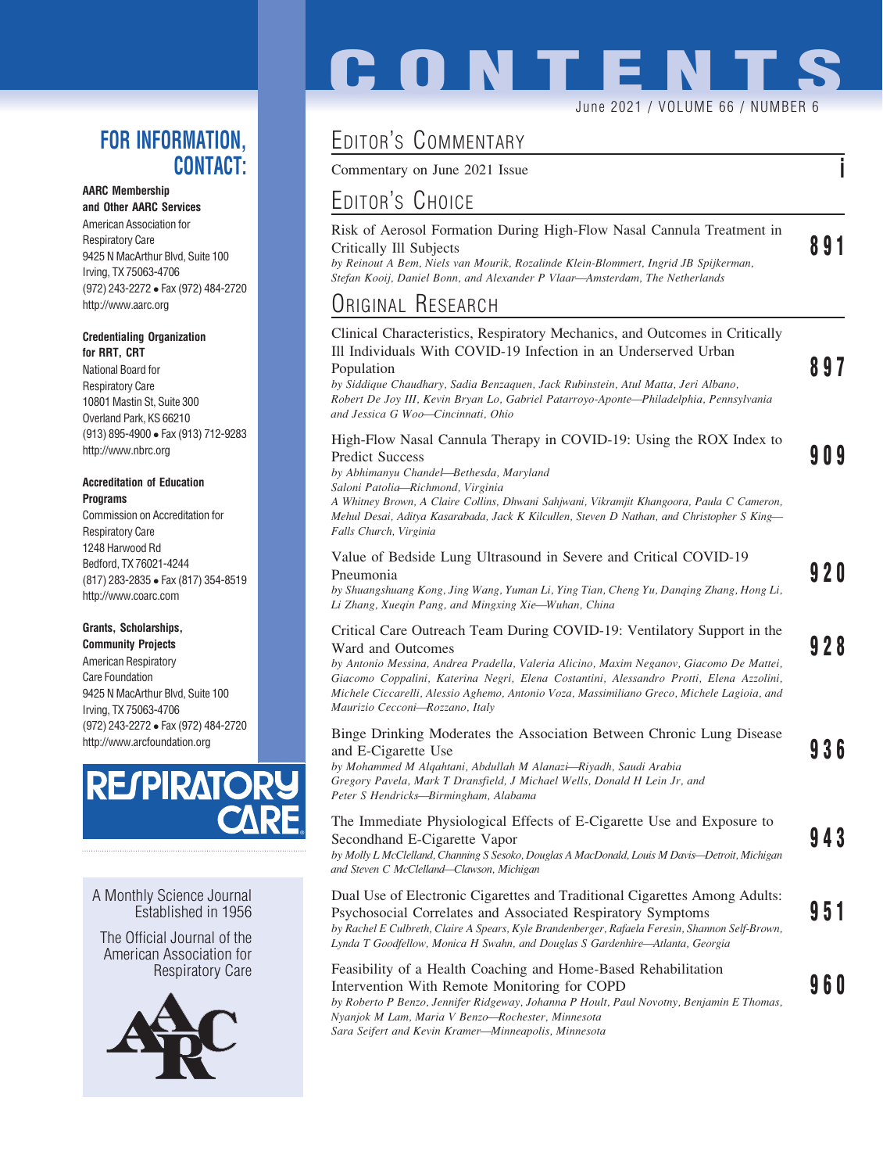### FOR INFORMATION, CONTACT:

#### AARC Membership

and Other AARC Services American Association for Respiratory Care 9425 N MacArthur Blvd, Suite 100 Irving, TX 75063-4706 (972) 243-2272 Fax (972) 484-2720 http://www.aarc.org

#### Credentialing Organization for RRT, CRT

National Board for Respiratory Care 10801 Mastin St, Suite 300 Overland Park, KS 66210 (913) 895-4900 Fax (913) 712-9283 http://www.nbrc.org

#### Accreditation of Education Programs

Commission on Accreditation for Respiratory Care 1248 Harwood Rd Bedford, TX 76021-4244 (817) 283-2835 Fax (817) 354-8519 http://www.coarc.com

### Grants, Scholarships,

Community Projects American Respiratory Care Foundation 9425 N MacArthur Blvd, Suite 100 Irving, TX 75063-4706 (972) 243-2272 Fax (972) 484-2720 http://www.arcfoundation.org



A Monthly Science Journal Established in 1956

The Official Journal of the American Association for Respiratory Care



# **CONTENTS** June 2021 / VOLUME 66 / NUMBER 6

## EDITOR'S COMMENTARY

Commentary on June 2021 Issue in the same in the set of the set of the set of the set of the set of the set of the set of the set of the set of the set of the set of the set of the set of the set of the set of the set of t

## EDITOR'S CHOICE

| Risk of Aerosol Formation During High-Flow Nasal Cannula Treatment in               |     |
|-------------------------------------------------------------------------------------|-----|
| Critically Ill Subjects                                                             | 891 |
| by Reinout A Bem, Niels van Mourik, Rozalinde Klein-Blommert, Ingrid JB Spijkerman, |     |

Stefan Kooij, Daniel Bonn, and Alexander P Vlaar—Amsterdam, The Netherlands

## ORIGINAL RESEARCH

| Clinical Characteristics, Respiratory Mechanics, and Outcomes in Critically<br>Ill Individuals With COVID-19 Infection in an Underserved Urban<br>Population<br>by Siddique Chaudhary, Sadia Benzaquen, Jack Rubinstein, Atul Matta, Jeri Albano,<br>Robert De Joy III, Kevin Bryan Lo, Gabriel Patarroyo-Aponte—Philadelphia, Pennsylvania<br>and Jessica G Woo-Cincinnati, Ohio                                   | 897        |
|---------------------------------------------------------------------------------------------------------------------------------------------------------------------------------------------------------------------------------------------------------------------------------------------------------------------------------------------------------------------------------------------------------------------|------------|
| High-Flow Nasal Cannula Therapy in COVID-19: Using the ROX Index to<br><b>Predict Success</b><br>by Abhimanyu Chandel-Bethesda, Maryland<br>Saloni Patolia-Richmond, Virginia<br>A Whitney Brown, A Claire Collins, Dhwani Sahjwani, Vikramjit Khangoora, Paula C Cameron,<br>Mehul Desai, Aditya Kasarabada, Jack K Kilcullen, Steven D Nathan, and Christopher S King—<br>Falls Church, Virginia                  | 909        |
| Value of Bedside Lung Ultrasound in Severe and Critical COVID-19<br>Pneumonia<br>by Shuangshuang Kong, Jing Wang, Yuman Li, Ying Tian, Cheng Yu, Danqing Zhang, Hong Li,<br>Li Zhang, Xueqin Pang, and Mingxing Xie-Wuhan, China                                                                                                                                                                                    | 9 2 O      |
| Critical Care Outreach Team During COVID-19: Ventilatory Support in the<br>Ward and Outcomes<br>by Antonio Messina, Andrea Pradella, Valeria Alicino, Maxim Neganov, Giacomo De Mattei,<br>Giacomo Coppalini, Katerina Negri, Elena Costantini, Alessandro Protti, Elena Azzolini,<br>Michele Ciccarelli, Alessio Aghemo, Antonio Voza, Massimiliano Greco, Michele Lagioia, and<br>Maurizio Cecconi-Rozzano, Italy | 928        |
| Binge Drinking Moderates the Association Between Chronic Lung Disease<br>and E-Cigarette Use<br>by Mohammed M Algahtani, Abdullah M Alanazi-Riyadh, Saudi Arabia<br>Gregory Pavela, Mark T Dransfield, J Michael Wells, Donald H Lein Jr, and<br>Peter S Hendricks-Birmingham, Alabama                                                                                                                              | 936        |
| The Immediate Physiological Effects of E-Cigarette Use and Exposure to<br>Secondhand E-Cigarette Vapor<br>by Molly L McClelland, Channing S Sesoko, Douglas A MacDonald, Louis M Davis-Detroit, Michigan<br>and Steven C McClelland-Clawson, Michigan                                                                                                                                                               | 943        |
| Dual Use of Electronic Cigarettes and Traditional Cigarettes Among Adults:<br>Psychosocial Correlates and Associated Respiratory Symptoms<br>by Rachel E Culbreth, Claire A Spears, Kyle Brandenberger, Rafaela Feresin, Shannon Self-Brown,<br>Lynda T Goodfellow, Monica H Swahn, and Douglas S Gardenhire—Atlanta, Georgia                                                                                       | 951        |
| Feasibility of a Health Coaching and Home-Based Rehabilitation<br>Intervention With Remote Monitoring for COPD<br>by Roberto P Benzo, Jennifer Ridgeway, Johanna P Hoult, Paul Novotny, Benjamin E Thomas,<br>Nyanjok M Lam, Maria V Benzo-Rochester, Minnesota                                                                                                                                                     | <b>960</b> |

Sara Seifert and Kevin Kramer—Minneapolis, Minnesota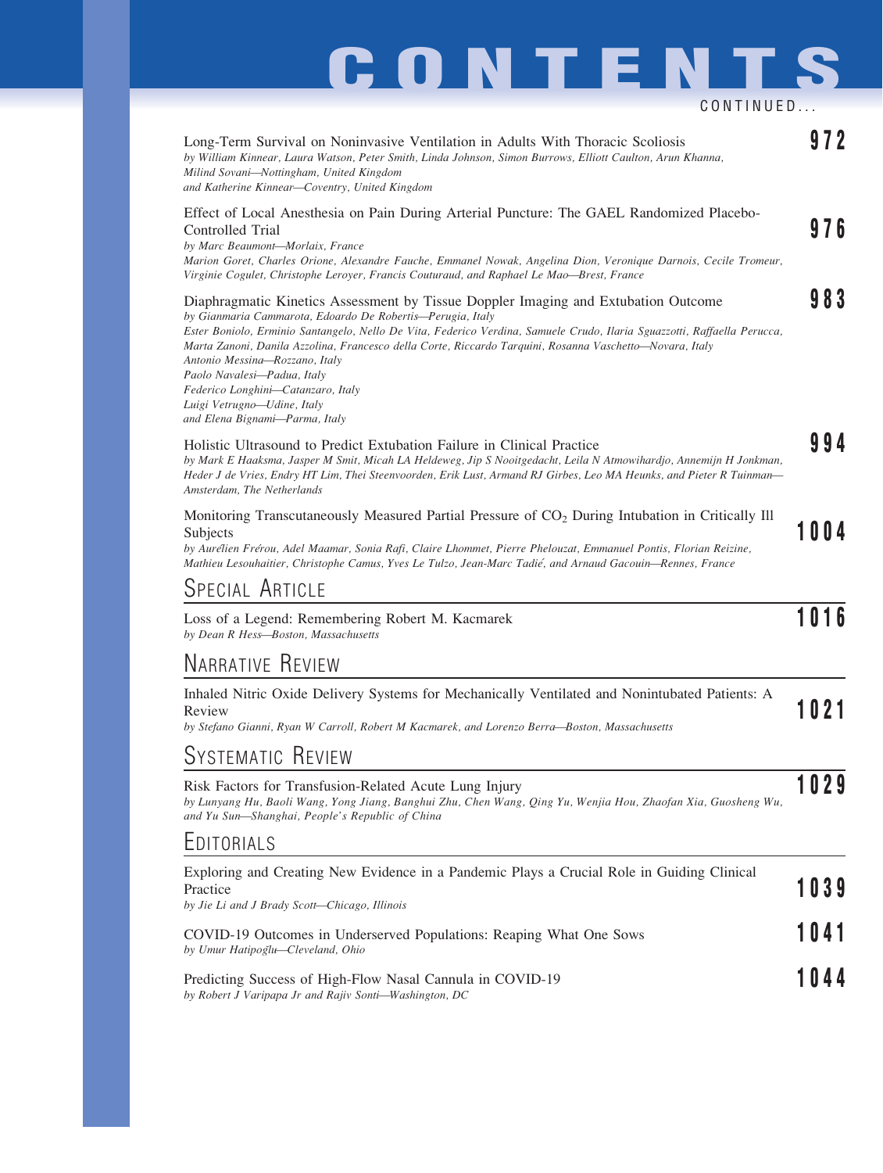# **CONTENTS**

CONTINUED...

| Long-Term Survival on Noninvasive Ventilation in Adults With Thoracic Scoliosis<br>by William Kinnear, Laura Watson, Peter Smith, Linda Johnson, Simon Burrows, Elliott Caulton, Arun Khanna,<br>Milind Sovani-Nottingham, United Kingdom<br>and Katherine Kinnear-Coventry, United Kingdom                                                                                                                                                                                                                                                                      |      |
|------------------------------------------------------------------------------------------------------------------------------------------------------------------------------------------------------------------------------------------------------------------------------------------------------------------------------------------------------------------------------------------------------------------------------------------------------------------------------------------------------------------------------------------------------------------|------|
| Effect of Local Anesthesia on Pain During Arterial Puncture: The GAEL Randomized Placebo-<br>Controlled Trial<br>by Marc Beaumont-Morlaix, France<br>Marion Goret, Charles Orione, Alexandre Fauche, Emmanel Nowak, Angelina Dion, Veronique Darnois, Cecile Tromeur,<br>Virginie Cogulet, Christophe Leroyer, Francis Couturaud, and Raphael Le Mao—Brest, France                                                                                                                                                                                               | 976  |
| Diaphragmatic Kinetics Assessment by Tissue Doppler Imaging and Extubation Outcome<br>by Gianmaria Cammarota, Edoardo De Robertis-Perugia, Italy<br>Ester Boniolo, Erminio Santangelo, Nello De Vita, Federico Verdina, Samuele Crudo, Ilaria Sguazzotti, Raffaella Perucca,<br>Marta Zanoni, Danila Azzolina, Francesco della Corte, Riccardo Tarquini, Rosanna Vaschetto-Novara, Italy<br>Antonio Messina-Rozzano, Italy<br>Paolo Navalesi-Padua, Italy<br>Federico Longhini-Catanzaro, Italy<br>Luigi Vetrugno—Udine, Italy<br>and Elena Bignami-Parma, Italy | 983  |
| Holistic Ultrasound to Predict Extubation Failure in Clinical Practice<br>by Mark E Haaksma, Jasper M Smit, Micah LA Heldeweg, Jip S Nooitgedacht, Leila N Atmowihardjo, Annemijn H Jonkman,<br>Heder J de Vries, Endry HT Lim, Thei Steenvoorden, Erik Lust, Armand RJ Girbes, Leo MA Heunks, and Pieter R Tuinman—<br>Amsterdam, The Netherlands                                                                                                                                                                                                               |      |
| Monitoring Transcutaneously Measured Partial Pressure of CO <sub>2</sub> During Intubation in Critically Ill<br>Subjects<br>by Aurélien Frérou, Adel Maamar, Sonia Rafi, Claire Lhommet, Pierre Phelouzat, Emmanuel Pontis, Florian Reizine,<br>Mathieu Lesouhaitier, Christophe Camus, Yves Le Tulzo, Jean-Marc Tadié, and Arnaud Gacouin-Rennes, France                                                                                                                                                                                                        | 1004 |
| SPECIAL ARTICLE                                                                                                                                                                                                                                                                                                                                                                                                                                                                                                                                                  |      |
| Loss of a Legend: Remembering Robert M. Kacmarek<br>by Dean R Hess-Boston, Massachusetts                                                                                                                                                                                                                                                                                                                                                                                                                                                                         | 1016 |
| <b>NARRATIVE REVIEW</b>                                                                                                                                                                                                                                                                                                                                                                                                                                                                                                                                          |      |
| Inhaled Nitric Oxide Delivery Systems for Mechanically Ventilated and Nonintubated Patients: A<br>Review<br>by Stefano Gianni, Ryan W Carroll, Robert M Kacmarek, and Lorenzo Berra-Boston, Massachusetts                                                                                                                                                                                                                                                                                                                                                        | 1021 |
| SYSTEMATIC REVIEW                                                                                                                                                                                                                                                                                                                                                                                                                                                                                                                                                |      |
| Risk Factors for Transfusion-Related Acute Lung Injury<br>by Lunyang Hu, Baoli Wang, Yong Jiang, Banghui Zhu, Chen Wang, Qing Yu, Wenjia Hou, Zhaofan Xia, Guosheng Wu,<br>and Yu Sun-Shanghai, People's Republic of China                                                                                                                                                                                                                                                                                                                                       | 1029 |
| EDITORIALS                                                                                                                                                                                                                                                                                                                                                                                                                                                                                                                                                       |      |
| Exploring and Creating New Evidence in a Pandemic Plays a Crucial Role in Guiding Clinical<br>Practice<br>by Jie Li and J Brady Scott-Chicago, Illinois                                                                                                                                                                                                                                                                                                                                                                                                          | 1039 |
| COVID-19 Outcomes in Underserved Populations: Reaping What One Sows<br>by Umur Hatipoğlu-Cleveland, Ohio                                                                                                                                                                                                                                                                                                                                                                                                                                                         | 1041 |
| Predicting Success of High-Flow Nasal Cannula in COVID-19<br>by Robert J Varipapa Jr and Rajiv Sonti-Washington, DC                                                                                                                                                                                                                                                                                                                                                                                                                                              | 044  |
|                                                                                                                                                                                                                                                                                                                                                                                                                                                                                                                                                                  |      |